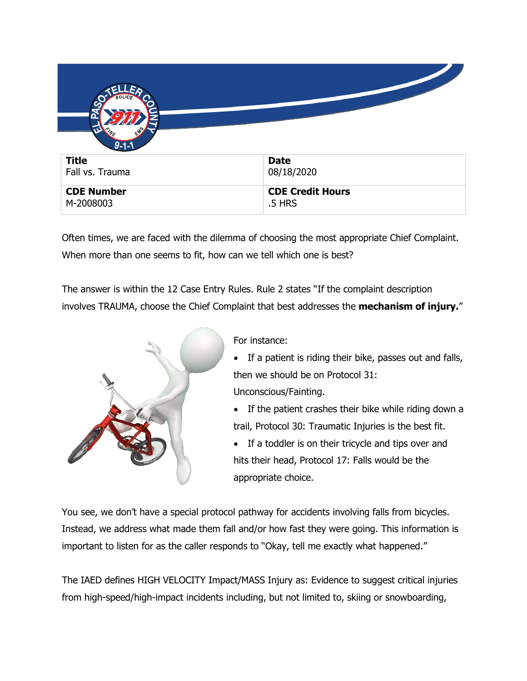| $9 - 1 - 1$     |             |
|-----------------|-------------|
| <b>Title</b>    | <b>Date</b> |
| Fall vs. Trauma | 08/18/2020  |
|                 |             |

Often times, we are faced with the dilemma of choosing the most appropriate Chief Complaint. When more than one seems to fit, how can we tell which one is best?

The answer is within the 12 Case Entry Rules. Rule 2 states "If the complaint description involves TRAUMA, choose the Chief Complaint that best addresses the **mechanism of injury.**"



For instance:

- If a patient is riding their bike, passes out and falls, then we should be on Protocol 31: Unconscious/Fainting.
- If the patient crashes their bike while riding down a trail, Protocol 30: Traumatic Injuries is the best fit.
- If a toddler is on their tricycle and tips over and hits their head, Protocol 17: Falls would be the appropriate choice.

You see, we don't have a special protocol pathway for accidents involving falls from bicycles. Instead, we address what made them fall and/or how fast they were going. This information is important to listen for as the caller responds to "Okay, tell me exactly what happened."

The IAED defines HIGH VELOCITY Impact/MASS Injury as: Evidence to suggest critical injuries from high-speed/high-impact incidents including, but not limited to, skiing or snowboarding,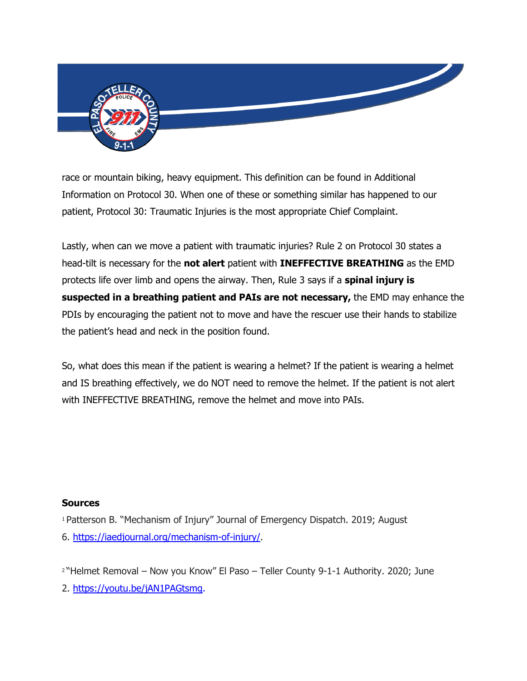

race or mountain biking, heavy equipment. This definition can be found in Additional Information on Protocol 30. When one of these or something similar has happened to our patient, Protocol 30: Traumatic Injuries is the most appropriate Chief Complaint.

Lastly, when can we move a patient with traumatic injuries? Rule 2 on Protocol 30 states a head-tilt is necessary for the **not alert** patient with **INEFFECTIVE BREATHING** as the EMD protects life over limb and opens the airway. Then, Rule 3 says if a **spinal injury is suspected in a breathing patient and PAIs are not necessary,** the EMD may enhance the PDIs by encouraging the patient not to move and have the rescuer use their hands to stabilize the patient's head and neck in the position found.

So, what does this mean if the patient is wearing a helmet? If the patient is wearing a helmet and IS breathing effectively, we do NOT need to remove the helmet. If the patient is not alert with INEFFECTIVE BREATHING, remove the helmet and move into PAIs.

## **Sources**

<sup>1</sup> Patterson B. "Mechanism of Injury" Journal of Emergency Dispatch. 2019; August 6. [https://iaedjournal.org/mechanism-of-injury/.](https://iaedjournal.org/mechanism-of-injury/)

<sup>2</sup> "Helmet Removal – Now you Know" El Paso – Teller County 9-1-1 Authority. 2020; June 2. [https://youtu.be/jAN1PAGtsmg.](https://youtu.be/jAN1PAGtsmg)